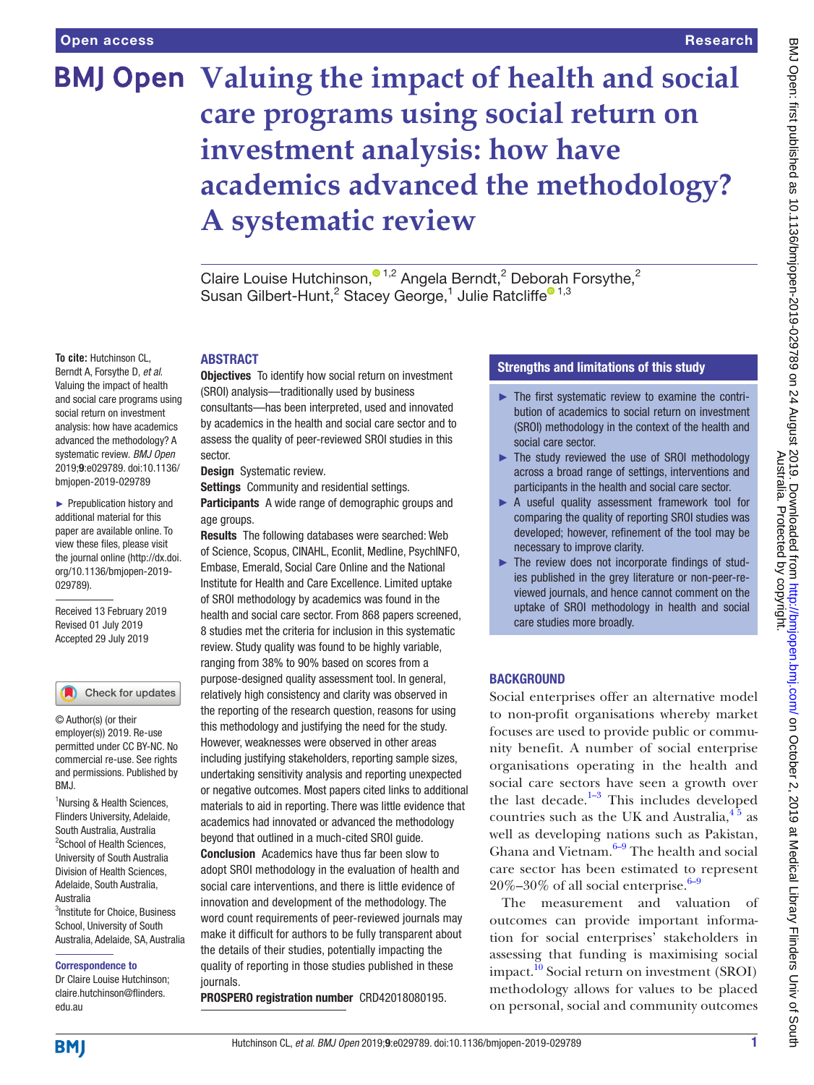**To cite:** Hutchinson CL, Berndt A, Forsythe D, *et al*. Valuing the impact of health and social care programs using social return on investment analysis: how have academics advanced the methodology? A systematic review. *BMJ Open* 2019;9:e029789. doi:10.1136/ bmjopen-2019-029789 ► Prepublication history and additional material for this paper are available online. To view these files, please visit the journal online (http://dx.doi. org/10.1136/bmjopen-2019-

029789).

Received 13 February 2019 Revised 01 July 2019 Accepted 29 July 2019

Check for updates

<sup>1</sup>Nursing & Health Sciences, Flinders University, Adelaide, South Australia, Australia <sup>2</sup>School of Health Sciences, University of South Australia Division of Health Sciences, Adelaide, South Australia,

© Author(s) (or their employer(s)) 2019. Re-use permitted under CC BY-NC. No commercial re-use. See rights and permissions. Published by

3 Institute for Choice, Business School, University of South Australia, Adelaide, SA, Australia

Correspondence to Dr Claire Louise Hutchinson; claire.hutchinson@flinders.

# **BMJ Open Valuing the impact of health and social care programs using social return on investment analysis: how have academics advanced the methodology? A systematic review**

Claire Louise Hutchinson,<sup>® 1,2</sup> Angela Berndt,<sup>2</sup> Deborah Forsythe,<sup>2</sup> Susan Gilb[e](http://orcid.org/0000-0001-7365-1988)rt-Hunt,<sup>2</sup> Stacey George,<sup>1</sup> Julie Ratcliffe<sup>® 1,3</sup>

#### **ABSTRACT**

**Objectives** To identify how social return on investment (SROI) analysis—traditionally used by business consultants—has been interpreted, used and innovated by academics in the health and social care sector and to assess the quality of peer-reviewed SROI studies in this sector.

Design Systematic review.

Settings Community and residential settings.

Participants A wide range of demographic groups and age groups.

Results The following databases were searched: Web of Science, Scopus, CINAHL, Econlit, Medline, PsychINFO, Embase, Emerald, Social Care Online and the National Institute for Health and Care Excellence. Limited uptake of SROI methodology by academics was found in the health and social care sector. From 868 papers screened, 8 studies met the criteria for inclusion in this systematic review. Study quality was found to be highly variable, ranging from 38% to 90% based on scores from a purpose-designed quality assessment tool. In general, relatively high consistency and clarity was observed in the reporting of the research question, reasons for using this methodology and justifying the need for the study. However, weaknesses were observed in other areas including justifying stakeholders, reporting sample sizes, undertaking sensitivity analysis and reporting unexpected or negative outcomes. Most papers cited links to additional materials to aid in reporting. There was little evidence that academics had innovated or advanced the methodology beyond that outlined in a much-cited SROI guide. Conclusion Academics have thus far been slow to adopt SROI methodology in the evaluation of health and social care interventions, and there is little evidence of innovation and development of the methodology. The word count requirements of peer-reviewed journals may make it difficult for authors to be fully transparent about the details of their studies, potentially impacting the quality of reporting in those studies published in these journals.

PROSPERO registration number CRD42018080195.

## Strengths and limitations of this study

- ► The first systematic review to examine the contribution of academics to social return on investment (SROI) methodology in the context of the health and social care sector.
- ► The study reviewed the use of SROI methodology across a broad range of settings, interventions and participants in the health and social care sector.
- ► A useful quality assessment framework tool for comparing the quality of reporting SROI studies was developed; however, refinement of the tool may be necessary to improve clarity.
- ► The review does not incorporate findings of studies published in the grey literature or non-peer-reviewed journals, and hence cannot comment on the uptake of SROI methodology in health and social care studies more broadly.

## **BACKGROUND**

Social enterprises offer an alternative model to non-profit organisations whereby market focuses are used to provide public or community benefit. A number of social enterprise organisations operating in the health and social care sectors have seen a growth over the last decade. $1-3$  This includes developed countries such as the UK and Australia,  $4^{\frac{1}{5}}$  as well as developing nations such as Pakistan, Ghana and Vietnam. $6-9$  The health and social care sector has been estimated to represent  $20\% - 30\%$  of all social enterprise.<sup>[6–9](#page-5-2)</sup>

The measurement and valuation of outcomes can provide important information for social enterprises' stakeholders in assessing that funding is maximising social impact.[10](#page-5-3) Social return on investment (SROI) methodology allows for values to be placed on personal, social and community outcomes

**BMI** 

edu.au

Australia

BMJ.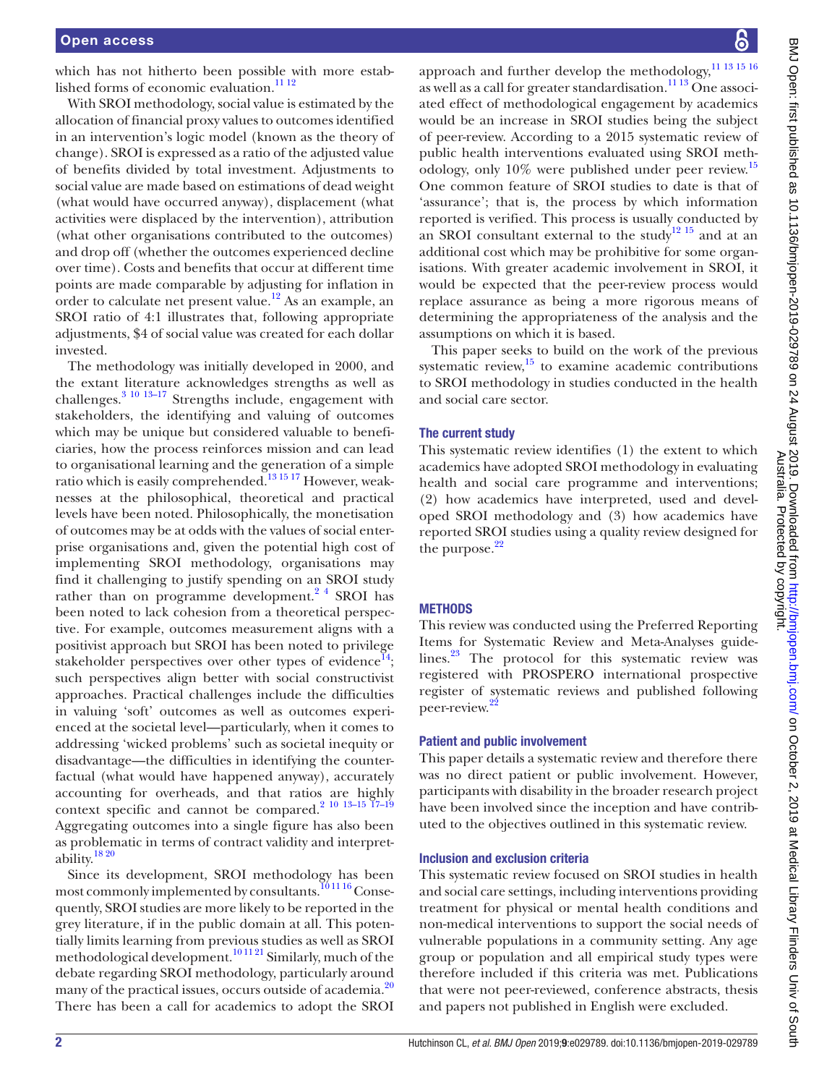which has not hitherto been possible with more established forms of economic evaluation.<sup>11 12</sup>

With SROI methodology, social value is estimated by the allocation of financial proxy values to outcomes identified in an intervention's logic model (known as the theory of change). SROI is expressed as a ratio of the adjusted value of benefits divided by total investment. Adjustments to social value are made based on estimations of dead weight (what would have occurred anyway), displacement (what activities were displaced by the intervention), attribution (what other organisations contributed to the outcomes) and drop off (whether the outcomes experienced decline over time). Costs and benefits that occur at different time points are made comparable by adjusting for inflation in order to calculate net present value.<sup>12</sup> As an example, an SROI ratio of 4:1 illustrates that, following appropriate adjustments, \$4 of social value was created for each dollar invested.

The methodology was initially developed in 2000, and the extant literature acknowledges strengths as well as challenges. $3^{3}$  10  $13-17$  Strengths include, engagement with stakeholders, the identifying and valuing of outcomes which may be unique but considered valuable to beneficiaries, how the process reinforces mission and can lead to organisational learning and the generation of a simple ratio which is easily comprehended.[13 15 17](#page-5-7) However, weaknesses at the philosophical, theoretical and practical levels have been noted. Philosophically, the monetisation of outcomes may be at odds with the values of social enterprise organisations and, given the potential high cost of implementing SROI methodology, organisations may find it challenging to justify spending on an SROI study rather than on programme development.<sup>24</sup> SROI has been noted to lack cohesion from a theoretical perspective. For example, outcomes measurement aligns with a positivist approach but SROI has been noted to privilege stakeholder perspectives over other types of evidence<sup>[14](#page-5-9)</sup>; such perspectives align better with social constructivist approaches. Practical challenges include the difficulties in valuing 'soft' outcomes as well as outcomes experienced at the societal level—particularly, when it comes to addressing 'wicked problems' such as societal inequity or disadvantage—the difficulties in identifying the counterfactual (what would have happened anyway), accurately accounting for overheads, and that ratios are highly context specific and cannot be compared.<sup>2</sup> <sup>10</sup> <sup>13-15</sup> <sup>17-19</sup> Aggregating outcomes into a single figure has also been as problematic in terms of contract validity and interpretability.[18 20](#page-5-10)

Since its development, SROI methodology has been most commonly implemented by consultants. $101116$  Consequently, SROI studies are more likely to be reported in the grey literature, if in the public domain at all. This potentially limits learning from previous studies as well as SROI methodological development.<sup>101121</sup> Similarly, much of the debate regarding SROI methodology, particularly around many of the practical issues, occurs outside of academia.<sup>[20](#page-5-11)</sup> There has been a call for academics to adopt the SROI approach and further develop the methodology,<sup>[11 13 15 16](#page-5-4)</sup> as well as a call for greater standardisation.<sup>11 13</sup> One associated effect of methodological engagement by academics would be an increase in SROI studies being the subject of peer-review. According to a 2015 systematic review of public health interventions evaluated using SROI methodology, only  $10\%$  were published under peer review.<sup>[15](#page-5-12)</sup> One common feature of SROI studies to date is that of 'assurance'; that is, the process by which information reported is verified. This process is usually conducted by an SROI consultant external to the study<sup>12 15</sup> and at an additional cost which may be prohibitive for some organisations. With greater academic involvement in SROI, it would be expected that the peer-review process would replace assurance as being a more rigorous means of determining the appropriateness of the analysis and the assumptions on which it is based.

This paper seeks to build on the work of the previous systematic review, $\frac{15}{15}$  $\frac{15}{15}$  $\frac{15}{15}$  to examine academic contributions to SROI methodology in studies conducted in the health and social care sector.

## The current study

This systematic review identifies (1) the extent to which academics have adopted SROI methodology in evaluating health and social care programme and interventions; (2) how academics have interpreted, used and developed SROI methodology and (3) how academics have reported SROI studies using a quality review designed for the purpose. $22$ 

## **METHODS**

This review was conducted using the Preferred Reporting Items for Systematic Review and Meta-Analyses guidelines.<sup>23</sup> The protocol for this systematic review was registered with PROSPERO international prospective register of systematic reviews and published following peer-review.<sup>22</sup>

#### Patient and public involvement

This paper details a systematic review and therefore there was no direct patient or public involvement. However, participants with disability in the broader research project have been involved since the inception and have contributed to the objectives outlined in this systematic review.

#### Inclusion and exclusion criteria

This systematic review focused on SROI studies in health and social care settings, including interventions providing treatment for physical or mental health conditions and non-medical interventions to support the social needs of vulnerable populations in a community setting. Any age group or population and all empirical study types were therefore included if this criteria was met. Publications that were not peer-reviewed, conference abstracts, thesis and papers not published in English were excluded.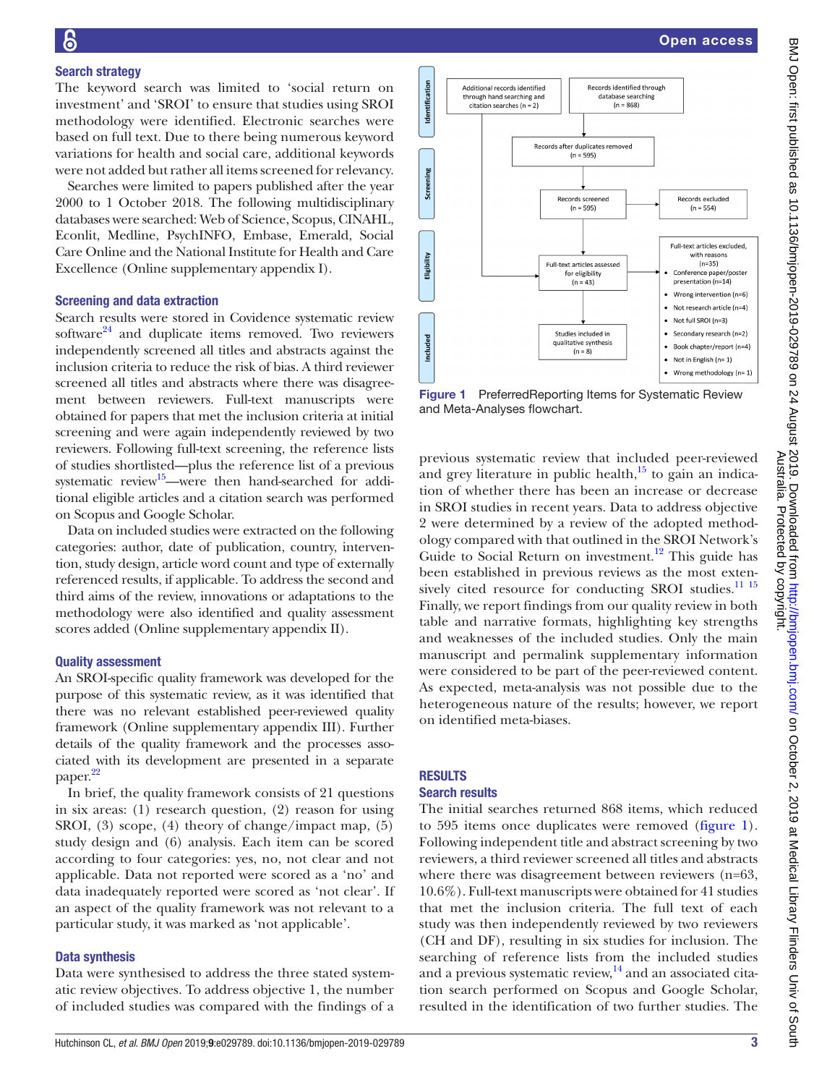## Search strategy

The keyword search was limited to 'social return on investment' and 'SROI' to ensure that studies using SROI methodology were identified. Electronic searches were based on full text. Due to there being numerous keyword variations for health and social care, additional keywords were not added but rather all items screened for relevancy.

Searches were limited to papers published after the year 2000 to 1 October 2018. The following multidisciplinary databases were searched: Web of Science, Scopus, CINAHL, Econlit, Medline, PsychINFO, Embase, Emerald, Social Care Online and the National Institute for Health and Care Excellence [\(Online supplementary appendix I](https://dx.doi.org/10.1136/bmjopen-2019-029789)).

## Screening and data extraction

Search results were stored in Covidence systematic review software $^{24}$  and duplicate items removed. Two reviewers independently screened all titles and abstracts against the inclusion criteria to reduce the risk of bias. A third reviewer screened all titles and abstracts where there was disagreement between reviewers. Full-text manuscripts were obtained for papers that met the inclusion criteria at initial screening and were again independently reviewed by two reviewers. Following full-text screening, the reference lists of studies shortlisted—plus the reference list of a previous systematic review<sup>[15](#page-5-12)</sup>—were then hand-searched for additional eligible articles and a citation search was performed on Scopus and Google Scholar.

Data on included studies were extracted on the following categories: author, date of publication, country, intervention, study design, article word count and type of externally referenced results, if applicable. To address the second and third aims of the review, innovations or adaptations to the methodology were also identified and quality assessment scores added ([Online supplementary appendix II\)](https://dx.doi.org/10.1136/bmjopen-2019-029789).

#### Quality assessment

An SROI-specific quality framework was developed for the purpose of this systematic review, as it was identified that there was no relevant established peer-reviewed quality framework [\(Online supplementary appendix III](https://dx.doi.org/10.1136/bmjopen-2019-029789)). Further details of the quality framework and the processes associated with its development are presented in a separate paper.<sup>[22](#page-5-13)</sup>

In brief, the quality framework consists of 21 questions in six areas: (1) research question, (2) reason for using SROI, (3) scope, (4) theory of change/impact map, (5) study design and (6) analysis. Each item can be scored according to four categories: yes, no, not clear and not applicable. Data not reported were scored as a 'no' and data inadequately reported were scored as 'not clear'. If an aspect of the quality framework was not relevant to a particular study, it was marked as 'not applicable'.

#### Data synthesis

Data were synthesised to address the three stated systematic review objectives. To address objective 1, the number of included studies was compared with the findings of a



<span id="page-2-0"></span>**Figure 1** PreferredReporting Items for Systematic Review and Meta-Analyses flowchart.

previous systematic review that included peer-reviewed and grey literature in public health, $15$  to gain an indication of whether there has been an increase or decrease in SROI studies in recent years. Data to address objective 2 were determined by a review of the adopted methodology compared with that outlined in the SROI Network's Guide to Social Return on investment.<sup>12</sup> This guide has been established in previous reviews as the most exten-sively cited resource for conducting SROI studies.<sup>[11 15](#page-5-4)</sup> Finally, we report findings from our quality review in both table and narrative formats, highlighting key strengths and weaknesses of the included studies. Only the main manuscript and permalink supplementary information were considered to be part of the peer-reviewed content. As expected, meta-analysis was not possible due to the heterogeneous nature of the results; however, we report on identified meta-biases.

# **RESULTS**

# Search results

The initial searches returned 868 items, which reduced to 595 items once duplicates were removed [\(figure](#page-2-0) 1). Following independent title and abstract screening by two reviewers, a third reviewer screened all titles and abstracts where there was disagreement between reviewers (n=63, 10.6%). Full-text manuscripts were obtained for 41 studies that met the inclusion criteria. The full text of each study was then independently reviewed by two reviewers (CH and DF), resulting in six studies for inclusion. The searching of reference lists from the included studies and a previous systematic review, $14$  and an associated citation search performed on Scopus and Google Scholar, resulted in the identification of two further studies. The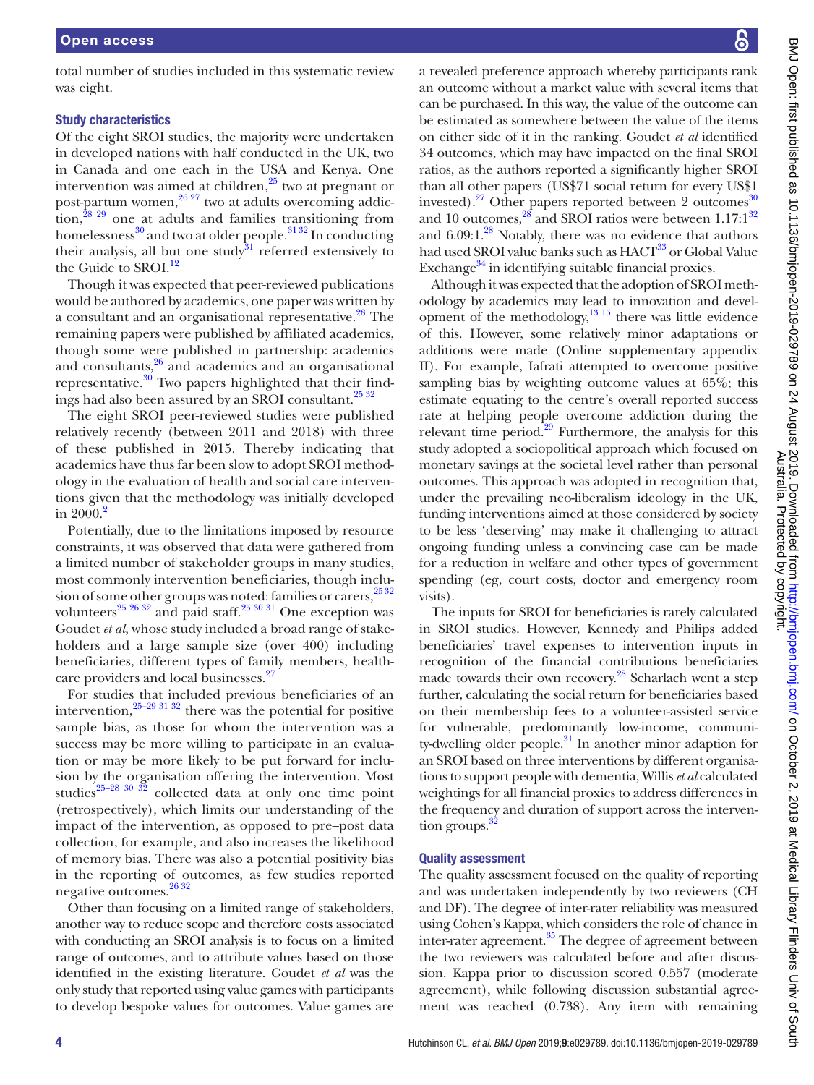total number of studies included in this systematic review was eight.

## Study characteristics

Of the eight SROI studies, the majority were undertaken in developed nations with half conducted in the UK, two in Canada and one each in the USA and Kenya. One intervention was aimed at children, $25$  two at pregnant or post-partum women, $26 27$  two at adults overcoming addic- $\t{tion,}^{\t{28\,29}}$  one at adults and families transitioning from homelessness $^{30}$  and two at older people.<sup>31 32</sup> In conducting their analysis, all but one study<sup>31</sup> referred extensively to the Guide to SROI.<sup>12</sup>

Though it was expected that peer-reviewed publications would be authored by academics, one paper was written by a consultant and an organisational representative.<sup>28</sup> The remaining papers were published by affiliated academics, though some were published in partnership: academics and consultants,<sup>[26](#page-5-17)</sup> and academics and an organisational representative.<sup>30</sup> Two papers highlighted that their findings had also been assured by an SROI consultant.[25 32](#page-5-16)

The eight SROI peer-reviewed studies were published relatively recently (between 2011 and 2018) with three of these published in 2015. Thereby indicating that academics have thus far been slow to adopt SROI methodology in the evaluation of health and social care interventions given that the methodology was initially developed in  $2000.<sup>2</sup>$ 

Potentially, due to the limitations imposed by resource constraints, it was observed that data were gathered from a limited number of stakeholder groups in many studies, most commonly intervention beneficiaries, though inclusion of some other groups was noted: families or carers,  $2532$ volunteers<sup>25 26 32</sup> and paid staff.<sup>25 30 31</sup> One exception was Goudet *et al*, whose study included a broad range of stakeholders and a large sample size (over 400) including beneficiaries, different types of family members, health-care providers and local businesses.<sup>[27](#page-5-21)</sup>

For studies that included previous beneficiaries of an intervention,  $25-29\frac{31\frac{32}{3}}{2}$  there was the potential for positive sample bias, as those for whom the intervention was a success may be more willing to participate in an evaluation or may be more likely to be put forward for inclusion by the organisation offering the intervention. Most studies<sup>25-28 30 32</sup> collected data at only one time point (retrospectively), which limits our understanding of the impact of the intervention, as opposed to pre–post data collection, for example, and also increases the likelihood of memory bias. There was also a potential positivity bias in the reporting of outcomes, as few studies reported negative outcomes.<sup>[26 32](#page-5-17)</sup>

Other than focusing on a limited range of stakeholders, another way to reduce scope and therefore costs associated with conducting an SROI analysis is to focus on a limited range of outcomes, and to attribute values based on those identified in the existing literature. Goudet *et al* was the only study that reported using value games with participants to develop bespoke values for outcomes. Value games are

a revealed preference approach whereby participants rank an outcome without a market value with several items that can be purchased. In this way, the value of the outcome can be estimated as somewhere between the value of the items on either side of it in the ranking. Goudet *et al* identified 34 outcomes, which may have impacted on the final SROI ratios, as the authors reported a significantly higher SROI than all other papers (US\$71 social return for every US\$1 invested). $^{27}$  Other papers reported between 2 outcomes $^{30}$ and 10 outcomes, $^{28}$  and SROI ratios were between 1.17:1<sup>32</sup> and  $6.09:1.^28$  Notably, there was no evidence that authors had used SROI value banks such as  $HACT^{33}$  or Global Value Exchange $34$  in identifying suitable financial proxies.

Although it was expected that the adoption of SROI methodology by academics may lead to innovation and development of the methodology, $\frac{13 \times 15}{13}$  there was little evidence of this. However, some relatively minor adaptations or additions were made ([Online supplementary appendix](https://dx.doi.org/10.1136/bmjopen-2019-029789)  [II\)](https://dx.doi.org/10.1136/bmjopen-2019-029789). For example, Iafrati attempted to overcome positive sampling bias by weighting outcome values at 65%; this estimate equating to the centre's overall reported success rate at helping people overcome addiction during the relevant time period. $29$  Furthermore, the analysis for this study adopted a sociopolitical approach which focused on monetary savings at the societal level rather than personal outcomes. This approach was adopted in recognition that, under the prevailing neo-liberalism ideology in the UK, funding interventions aimed at those considered by society to be less 'deserving' may make it challenging to attract ongoing funding unless a convincing case can be made for a reduction in welfare and other types of government spending (eg, court costs, doctor and emergency room visits).

The inputs for SROI for beneficiaries is rarely calculated in SROI studies. However, Kennedy and Philips added beneficiaries' travel expenses to intervention inputs in recognition of the financial contributions beneficiaries made towards their own recovery.<sup>28</sup> Scharlach went a step further, calculating the social return for beneficiaries based on their membership fees to a volunteer-assisted service for vulnerable, predominantly low-income, community-dwelling older people. $31$  In another minor adaption for an SROI based on three interventions by different organisations to support people with dementia, Willis *et al* calculated weightings for all financial proxies to address differences in the frequency and duration of support across the intervention groups. $32$ 

## Quality assessment

The quality assessment focused on the quality of reporting and was undertaken independently by two reviewers (CH and DF). The degree of inter-rater reliability was measured using Cohen's Kappa, which considers the role of chance in inter-rater agreement.<sup>[35](#page-5-26)</sup> The degree of agreement between the two reviewers was calculated before and after discussion. Kappa prior to discussion scored 0.557 (moderate agreement), while following discussion substantial agreement was reached (0.738). Any item with remaining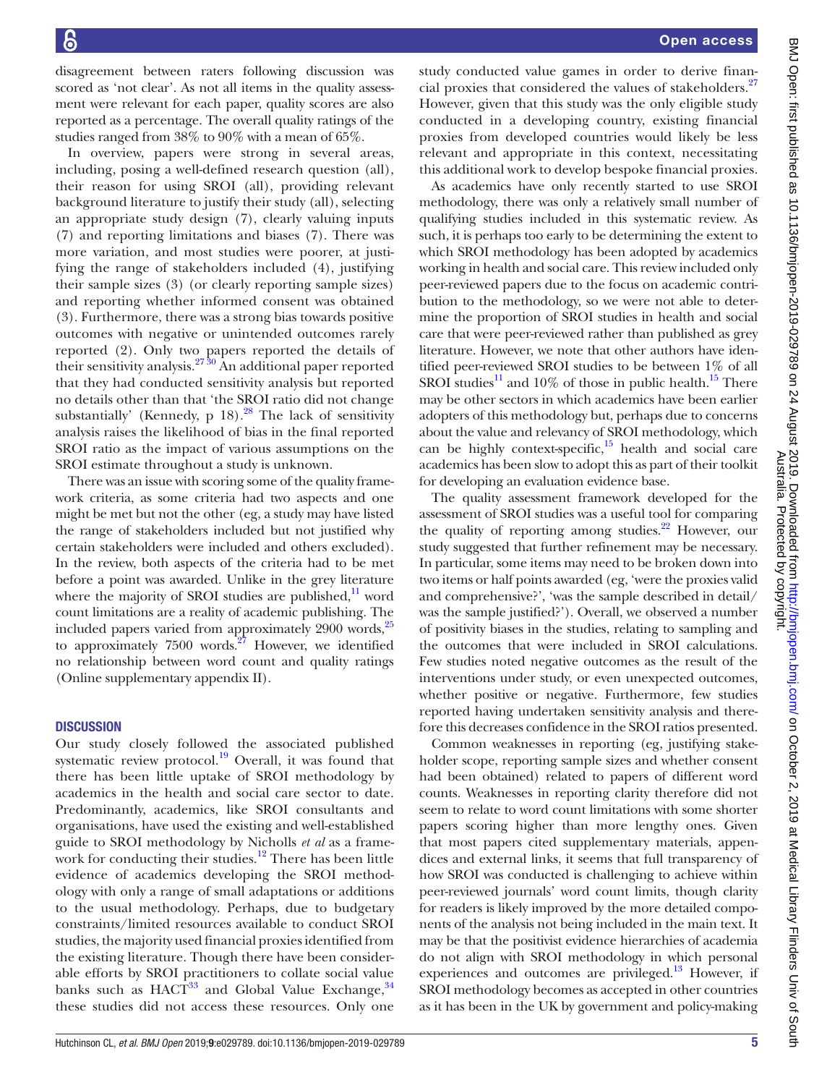disagreement between raters following discussion was scored as 'not clear'. As not all items in the quality assessment were relevant for each paper, quality scores are also reported as a percentage. The overall quality ratings of the studies ranged from 38% to 90% with a mean of 65%.

In overview, papers were strong in several areas, including, posing a well-defined research question (all), their reason for using SROI (all), providing relevant background literature to justify their study (all), selecting an appropriate study design (7), clearly valuing inputs (7) and reporting limitations and biases (7). There was more variation, and most studies were poorer, at justifying the range of stakeholders included (4), justifying their sample sizes (3) (or clearly reporting sample sizes) and reporting whether informed consent was obtained (3). Furthermore, there was a strong bias towards positive outcomes with negative or unintended outcomes rarely reported (2). Only two papers reported the details of their sensitivity analysis.<sup>2730</sup> An additional paper reported that they had conducted sensitivity analysis but reported no details other than that 'the SROI ratio did not change substantially' (Kennedy,  $p$  18).<sup>28</sup> The lack of sensitivity analysis raises the likelihood of bias in the final reported SROI ratio as the impact of various assumptions on the SROI estimate throughout a study is unknown.

There was an issue with scoring some of the quality framework criteria, as some criteria had two aspects and one might be met but not the other (eg, a study may have listed the range of stakeholders included but not justified why certain stakeholders were included and others excluded). In the review, both aspects of the criteria had to be met before a point was awarded. Unlike in the grey literature where the majority of SROI studies are published, $\frac{11}{11}$  word count limitations are a reality of academic publishing. The included papers varied from approximately 2900 words,<sup>[25](#page-5-16)</sup> to approximately  $7500$  words.<sup>[27](#page-5-21)</sup> However, we identified no relationship between word count and quality ratings ([Online supplementary appendix II\)](https://dx.doi.org/10.1136/bmjopen-2019-029789).

## **DISCUSSION**

Our study closely followed the associated published systematic review protocol.<sup>19</sup> Overall, it was found that there has been little uptake of SROI methodology by academics in the health and social care sector to date. Predominantly, academics, like SROI consultants and organisations, have used the existing and well-established guide to SROI methodology by Nicholls *et al* as a framework for conducting their studies.<sup>12</sup> There has been little evidence of academics developing the SROI methodology with only a range of small adaptations or additions to the usual methodology. Perhaps, due to budgetary constraints/limited resources available to conduct SROI studies, the majority used financial proxies identified from the existing literature. Though there have been considerable efforts by SROI practitioners to collate social value banks such as  $HACT^{33}$  and Global Value Exchange,  $34$ these studies did not access these resources. Only one

study conducted value games in order to derive finan-cial proxies that considered the values of stakeholders.<sup>[27](#page-5-21)</sup> However, given that this study was the only eligible study conducted in a developing country, existing financial proxies from developed countries would likely be less relevant and appropriate in this context, necessitating this additional work to develop bespoke financial proxies.

As academics have only recently started to use SROI methodology, there was only a relatively small number of qualifying studies included in this systematic review. As such, it is perhaps too early to be determining the extent to which SROI methodology has been adopted by academics working in health and social care. This review included only peer-reviewed papers due to the focus on academic contribution to the methodology, so we were not able to determine the proportion of SROI studies in health and social care that were peer-reviewed rather than published as grey literature. However, we note that other authors have identified peer-reviewed SROI studies to be between 1% of all SROI studies<sup>[11](#page-5-4)</sup> and 10% of those in public health.<sup>15</sup> There may be other sectors in which academics have been earlier adopters of this methodology but, perhaps due to concerns about the value and relevancy of SROI methodology, which can be highly context-specific, $15$  health and social care academics has been slow to adopt this as part of their toolkit for developing an evaluation evidence base.

The quality assessment framework developed for the assessment of SROI studies was a useful tool for comparing the quality of reporting among studies. $^{22}$  $^{22}$  $^{22}$  However, our study suggested that further refinement may be necessary. In particular, some items may need to be broken down into two items or half points awarded (eg, 'were the proxies valid and comprehensive?', 'was the sample described in detail/ was the sample justified?'). Overall, we observed a number of positivity biases in the studies, relating to sampling and the outcomes that were included in SROI calculations. Few studies noted negative outcomes as the result of the interventions under study, or even unexpected outcomes, whether positive or negative. Furthermore, few studies reported having undertaken sensitivity analysis and therefore this decreases confidence in the SROI ratios presented.

Common weaknesses in reporting (eg, justifying stakeholder scope, reporting sample sizes and whether consent had been obtained) related to papers of different word counts. Weaknesses in reporting clarity therefore did not seem to relate to word count limitations with some shorter papers scoring higher than more lengthy ones. Given that most papers cited supplementary materials, appendices and external links, it seems that full transparency of how SROI was conducted is challenging to achieve within peer-reviewed journals' word count limits, though clarity for readers is likely improved by the more detailed components of the analysis not being included in the main text. It may be that the positivist evidence hierarchies of academia do not align with SROI methodology in which personal experiences and outcomes are privileged. $13$  However, if SROI methodology becomes as accepted in other countries as it has been in the UK by government and policy-making